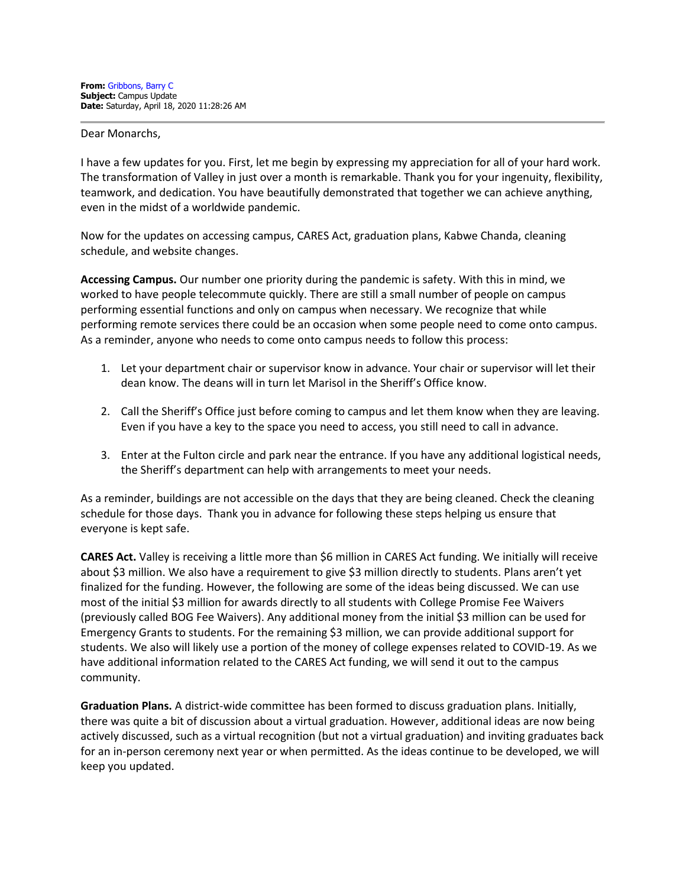Dear Monarchs,

I have a few updates for you. First, let me begin by expressing my appreciation for all of your hard work. The transformation of Valley in just over a month is remarkable. Thank you for your ingenuity, flexibility, teamwork, and dedication. You have beautifully demonstrated that together we can achieve anything, even in the midst of a worldwide pandemic.

Now for the updates on accessing campus, CARES Act, graduation plans, Kabwe Chanda, cleaning schedule, and website changes.

**Accessing Campus.** Our number one priority during the pandemic is safety. With this in mind, we worked to have people telecommute quickly. There are still a small number of people on campus performing essential functions and only on campus when necessary. We recognize that while performing remote services there could be an occasion when some people need to come onto campus. As a reminder, anyone who needs to come onto campus needs to follow this process:

- 1. Let your department chair or supervisor know in advance. Your chair or supervisor will let their dean know. The deans will in turn let Marisol in the Sheriff's Office know.
- 2. Call the Sheriff's Office just before coming to campus and let them know when they are leaving. Even if you have a key to the space you need to access, you still need to call in advance.
- 3. Enter at the Fulton circle and park near the entrance. If you have any additional logistical needs, the Sheriff's department can help with arrangements to meet your needs.

As a reminder, buildings are not accessible on the days that they are being cleaned. Check the cleaning schedule for those days. Thank you in advance for following these steps helping us ensure that everyone is kept safe.

**CARES Act.** Valley is receiving a little more than \$6 million in CARES Act funding. We initially will receive about \$3 million. We also have a requirement to give \$3 million directly to students. Plans aren't yet finalized for the funding. However, the following are some of the ideas being discussed. We can use most of the initial \$3 million for awards directly to all students with College Promise Fee Waivers (previously called BOG Fee Waivers). Any additional money from the initial \$3 million can be used for Emergency Grants to students. For the remaining \$3 million, we can provide additional support for students. We also will likely use a portion of the money of college expenses related to COVID-19. As we have additional information related to the CARES Act funding, we will send it out to the campus community.

**Graduation Plans.** A district-wide committee has been formed to discuss graduation plans. Initially, there was quite a bit of discussion about a virtual graduation. However, additional ideas are now being actively discussed, such as a virtual recognition (but not a virtual graduation) and inviting graduates back for an in-person ceremony next year or when permitted. As the ideas continue to be developed, we will keep you updated.